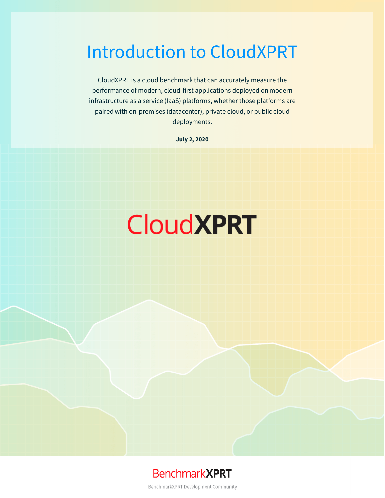## Introduction to CloudXPRT

CloudXPRT is a cloud benchmark that can accurately measure the performance of modern, cloud-first applications deployed on modern infrastructure as a service (IaaS) platforms, whether those platforms are paired with on-premises (datacenter), private cloud, or public cloud deployments.

**July 2, 2020**

# **CloudXPRT**



BenchmarkXPRT Development Community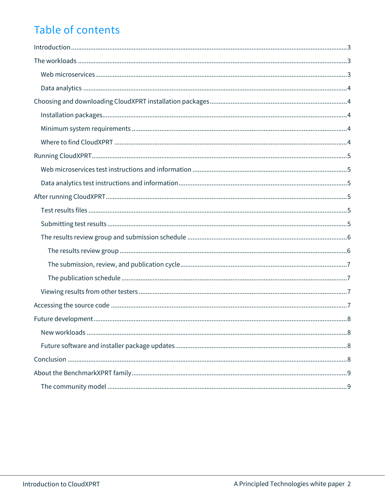### Table of contents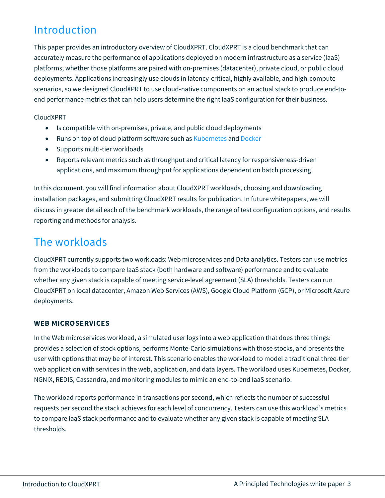### <span id="page-2-0"></span>Introduction

This paper provides an introductory overview of CloudXPRT. CloudXPRT is a cloud benchmark that can accurately measure the performance of applications deployed on modern infrastructure as a service (IaaS) platforms, whether those platforms are paired with on-premises (datacenter), private cloud, or public cloud deployments. Applications increasingly use clouds in latency-critical, highly available, and high-compute scenarios, so we designed CloudXPRT to use cloud-native components on an actual stack to produce end-toend performance metrics that can help users determine the right IaaS configuration for their business.

#### CloudXPRT

- Is compatible with on-premises, private, and public cloud deployments
- Runs on top of cloud platform software such as [Kubernetes](https://en.wikipedia.org/wiki/Kubernetes) an[d Docker](https://en.wikipedia.org/wiki/Docker_(software))
- Supports multi-tier workloads
- Reports relevant metrics such as throughput and critical latency for responsiveness-driven applications, and maximum throughput for applications dependent on batch processing

In this document, you will find information about CloudXPRT workloads, choosing and downloading installation packages, and submitting CloudXPRT results for publication. In future whitepapers, we will discuss in greater detail each of the benchmark workloads, the range of test configuration options, and results reporting and methods for analysis.

### <span id="page-2-1"></span>The workloads

CloudXPRT currently supports two workloads: Web microservices and Data analytics. Testers can use metrics from the workloads to compare IaaS stack (both hardware and software) performance and to evaluate whether any given stack is capable of meeting service-level agreement (SLA) thresholds. Testers can run CloudXPRT on local datacenter, Amazon Web Services (AWS), Google Cloud Platform (GCP), or Microsoft Azure deployments.

#### <span id="page-2-2"></span>**WEB MICROSERVICES**

In the Web microservices workload, a simulated user logs into a web application that does three things: provides a selection of stock options, performs Monte-Carlo simulations with those stocks, and presents the user with options that may be of interest. This scenario enables the workload to model a traditional three-tier web application with services in the web, application, and data layers. The workload uses Kubernetes, Docker, NGNIX, REDIS, Cassandra, and monitoring modules to mimic an end-to-end IaaS scenario.

The workload reports performance in transactions per second, which reflects the number of successful requests per second the stack achieves for each level of concurrency. Testers can use this workload's metrics to compare IaaS stack performance and to evaluate whether any given stack is capable of meeting SLA thresholds.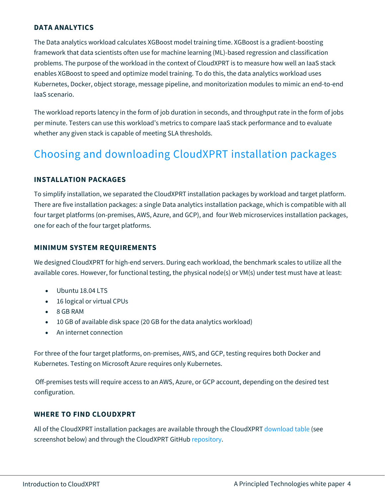#### <span id="page-3-0"></span>**DATA ANALYTICS**

The Data analytics workload calculates XGBoost model training time. XGBoost is a gradient-boosting framework that data scientists often use for machine learning (ML)-based regression and classification problems. The purpose of the workload in the context of CloudXPRT is to measure how well an IaaS stack enables XGBoost to speed and optimize model training. To do this, the data analytics workload uses Kubernetes, Docker, object storage, message pipeline, and monitorization modules to mimic an end-to-end IaaS scenario.

The workload reports latency in the form of job duration in seconds, and throughput rate in the form of jobs per minute. Testers can use this workload's metrics to compare IaaS stack performance and to evaluate whether any given stack is capable of meeting SLA thresholds.

### <span id="page-3-1"></span>Choosing and downloading CloudXPRT installation packages

#### <span id="page-3-2"></span>**INSTALLATION PACKAGES**

To simplify installation, we separated the CloudXPRT installation packages by workload and target platform. There are five installation packages: a single Data analytics installation package, which is compatible with all four target platforms (on-premises, AWS, Azure, and GCP), and four Web microservices installation packages, one for each of the four target platforms.

#### <span id="page-3-3"></span>**MINIMUM SYSTEM REQUIREMENTS**

We designed CloudXPRT for high-end servers. During each workload, the benchmark scales to utilize all the available cores. However, for functional testing, the physical node(s) or VM(s) under test must have at least:

- Ubuntu 18.04 LTS
- 16 logical or virtual CPUs
- 8 GB RAM
- 10 GB of available disk space (20 GB for the data analytics workload)
- An internet connection

For three of the four target platforms, on-premises, AWS, and GCP, testing requires both Docker and Kubernetes. Testing on Microsoft Azure requires only Kubernetes.

Off-premises tests will require access to an AWS, Azure, or GCP account, depending on the desired test configuration.

#### <span id="page-3-4"></span>**WHERE TO FIND CLOUDXPRT**

All of the CloudXPRT installation packages are available through the CloudXPRT [download table](https://www.principledtechnologies.com/benchmarkxprt/cloudxprt/download) (see screenshot below) and through the CloudXPRT GitHub [repository.](https://github.com/BenchmarkXPRT/CloudXPRT)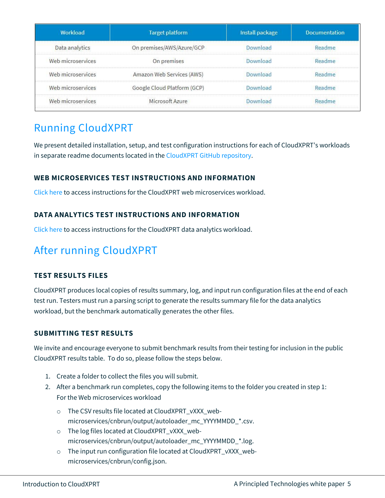| Workload          | <b>Target platform</b>      | Install package | Documentation |
|-------------------|-----------------------------|-----------------|---------------|
| Data analytics    | On premises/AWS/Azure/GCP   | Download        | Readme        |
| Web microservices | On premises                 | Download        | Readme        |
| Web microservices | Amazon Web Services (AWS)   | Download        | Readme        |
| Web microservices | Google Cloud Platform (GCP) | Download        | Readme        |
| Web microservices | Microsoft Azure             | Download        | Readme        |

### <span id="page-4-0"></span>Running CloudXPRT

We present detailed installation, setup, and test configuration instructions for each of CloudXPRT's workloads in separate readme documents located in th[e CloudXPRT GitHub repository.](https://github.com/BenchmarkXPRT/CloudXPRT)

#### <span id="page-4-1"></span>**WEB MICROSERVICES TEST INSTRUCTIONS AND INFORMATION**

[Click here](https://github.com/BenchmarkXPRT/CloudXPRT/blob/master/Web-microservices-docs/README.md) to access instructions for the CloudXPRT web microservices workload.

#### <span id="page-4-2"></span>**DATA ANALYTICS TEST INSTRUCTIONS AND INFORMATION**

[Click here](https://github.com/BenchmarkXPRT/CloudXPRT/blob/master/Data-analytics-docs/README.md) to access instructions for the CloudXPRT data analytics workload.

### <span id="page-4-3"></span>After running CloudXPRT

#### <span id="page-4-4"></span>**TEST RESULTS FILES**

CloudXPRT produces local copies of results summary, log, and input run configuration files at the end of each test run. Testers must run a parsing script to generate the results summary file for the data analytics workload, but the benchmark automatically generates the other files.

#### <span id="page-4-5"></span>**SUBMITTING TEST RESULTS**

We invite and encourage everyone to submit benchmark results from their testing for inclusion in the public CloudXPRT results table. To do so, please follow the steps below.

- 1. Create a folder to collect the files you will submit.
- 2. After a benchmark run completes, copy the following items to the folder you created in step 1: For the Web microservices workload
	- o The CSV results file located at CloudXPRT\_vXXX\_webmicroservices/cnbrun/output/autoloader\_mc\_YYYYMMDD\_\*.csv.
	- o The log files located at CloudXPRT\_vXXX\_webmicroservices/cnbrun/output/autoloader\_mc\_YYYYMMDD\_\*.log.
	- o The input run configuration file located at CloudXPRT\_vXXX\_webmicroservices/cnbrun/config.json.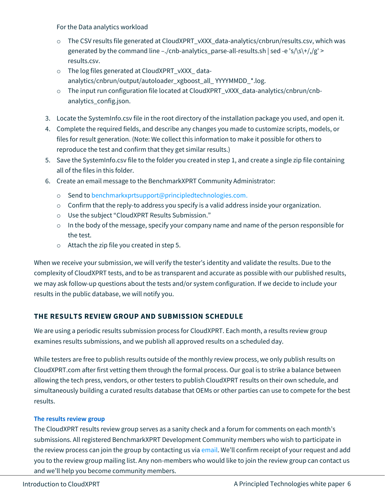For the Data analytics workload

- o The CSV results file generated at CloudXPRT\_vXXX\_data-analytics/cnbrun/results.csv, which was generated by the command line –./cnb-analytics\_parse-all-results.sh  $|\text{sed -e 's/s}{+}$ //g' > results.csv.
- o The log files generated at CloudXPRT\_vXXX\_ dataanalytics/cnbrun/output/autoloader\_xgboost\_all\_ YYYYMMDD\_\*.log.
- o The input run configuration file located at CloudXPRT\_vXXX\_data-analytics/cnbrun/cnbanalytics\_config.json.
- 3. Locate the SystemInfo.csv file in the root directory of the installation package you used, and open it.
- 4. Complete the required fields, and describe any changes you made to customize scripts, models, or files for result generation. (Note: We collect this information to make it possible for others to reproduce the test and confirm that they get similar results.)
- 5. Save the SystemInfo.csv file to the folder you created in step 1, and create a single zip file containing all of the files in this folder.
- 6. Create an email message to the BenchmarkXPRT Community Administrator:
	- o Send t[o benchmarkxprtsupport@principledtechnologies.com.](mailto:benchmarkxprtsupport@principledtechnologies.com?Subject=CloudXPRT%20Results%20Submission)
	- $\circ$  Confirm that the reply-to address you specify is a valid address inside your organization.
	- o Use the subject "CloudXPRT Results Submission."
	- o In the body of the message, specify your company name and name of the person responsible for the test.
	- o Attach the zip file you created in step 5.

When we receive your submission, we will verify the tester's identity and validate the results. Due to the complexity of CloudXPRT tests, and to be as transparent and accurate as possible with our published results, we may ask follow-up questions about the tests and/or system configuration. If we decide to include your results in the public database, we will notify you.

#### <span id="page-5-0"></span>**THE RESULTS REVIEW GROUP AND SUBMISSION SCHEDULE**

We are using a periodic results submission process for CloudXPRT. Each month, a results review group examines results submissions, and we publish all approved results on a scheduled day.

While testers are free to publish results outside of the monthly review process, we only publish results on CloudXPRT.com after first vetting them through the formal process. Our goal is to strike a balance between allowing the tech press, vendors, or other testers to publish CloudXPRT results on their own schedule, and simultaneously building a curated results database that OEMs or other parties can use to compete for the best results.

#### <span id="page-5-1"></span>**The results review group**

The CloudXPRT results review group serves as a sanity check and a forum for comments on each month's submissions. All registered BenchmarkXPRT Development Community members who wish to participate in the review process can join the group by contacting us via [email](mailto:benchmarkxprtsupport@principledtechnologies.com?subject=CloudXPRT%20results%20review%20group). We'll confirm receipt of your request and add you to the review group mailing list. Any non-members who would like to join the review group can contact us and we'll help you become community members.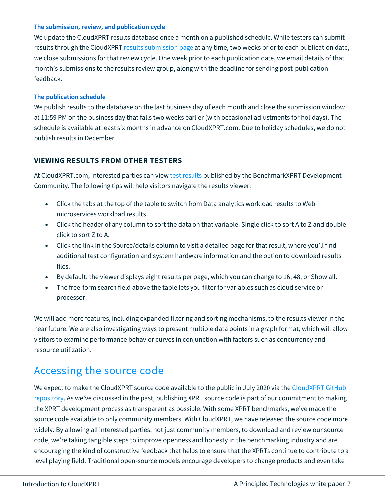#### <span id="page-6-0"></span>**The submission, review, and publication cycle**

We update the CloudXPRT results database once a month on a published schedule. While testers can submit results through the CloudXPRT [results submission page](https://www.principledtechnologies.com/benchmarkxprt/cloudxprt/2020/submit-results) at any time, two weeks prior to each publication date, we close submissions for that review cycle. One week prior to each publication date, we email details of that month's submissions to the results review group, along with the deadline for sending post-publication feedback.

#### <span id="page-6-1"></span>**The publication schedule**

We publish results to the database on the last business day of each month and close the submission window at 11:59 PM on the business day that falls two weeks earlier (with occasional adjustments for holidays). The schedule is available at least six months in advance on CloudXPRT.com. Due to holiday schedules, we do not publish results in December.

#### <span id="page-6-2"></span>**VIEWING RESULTS FROM OTHER TESTERS**

At CloudXPRT.com, interested parties can vie[w test results](https://www.principledtechnologies.com/benchmarkxprt/cloudxprt/2020/results) published by the BenchmarkXPRT Development Community. The following tips will help visitors navigate the results viewer:

- Click the tabs at the top of the table to switch from Data analytics workload results to Web microservices workload results.
- Click the header of any column to sort the data on that variable. Single click to sort A to Z and doubleclick to sort Z to A.
- Click the link in the Source/details column to visit a detailed page for that result, where you'll find additional test configuration and system hardware information and the option to download results files.
- By default, the viewer displays eight results per page, which you can change to 16, 48, or Show all.
- The free-form search field above the table lets you filter for variables such as cloud service or processor.

We will add more features, including expanded filtering and sorting mechanisms, to the results viewer in the near future. We are also investigating ways to present multiple data points in a graph format, which will allow visitors to examine performance behavior curves in conjunction with factors such as concurrency and resource utilization.

### <span id="page-6-3"></span>Accessing the source code

We expect to make the CloudXPRT source code available to the public in July 2020 via th[e CloudXPRT GitHub](https://github.com/BenchmarkXPRT/CloudXPRT) [repository.](https://github.com/BenchmarkXPRT/CloudXPRT) As we've discussed in the past, publishing XPRT source code is part of our commitment to making the XPRT development process as transparent as possible. With some XPRT benchmarks, we've made the source code available to only community members. With CloudXPRT, we have released the source code more widely. By allowing all interested parties, not just community members, to download and review our source code, we're taking tangible steps to improve openness and honesty in the benchmarking industry and are encouraging the kind of constructive feedback that helps to ensure that the XPRTs continue to contribute to a level playing field. Traditional open-source models encourage developers to change products and even take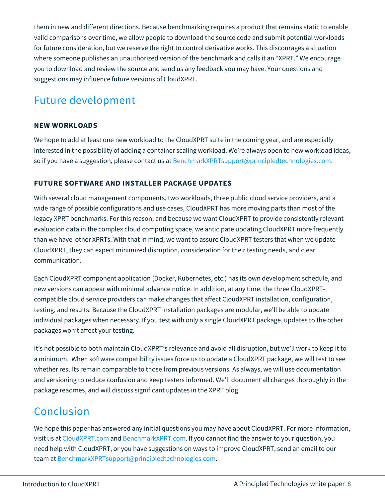them in new and different directions. Because benchmarking requires a product that remains static to enable valid comparisons over time, we allow people to download the source code and submit potential workloads for future consideration, but we reserve the right to control derivative works. This discourages a situation where someone publishes an unauthorized version of the benchmark and calls it an "XPRT." We encourage you to download and review the source and send us any feedback you may have. Your questions and suggestions may influence future versions of CloudXPRT.

### <span id="page-7-0"></span>Future development

#### <span id="page-7-1"></span>**NEW WORKLOADS**

We hope to add at least one new workload to the CloudXPRT suite in the coming year, and are especially interested in the possibility of adding a container scaling workload. We're always open to new workload ideas, so if you have a suggestion, please contact us at [BenchmarkXPRTsupport@principledtechnologies.com.](mailto:BenchmarkXPRTSupport@principledtechnologies.com?subject=CloudXPRT%20workloads)

#### <span id="page-7-2"></span>**FUTURE SOFTWARE AND INSTALLER PACKAGE UPDATES**

With several cloud management components, two workloads, three public cloud service providers, and a wide range of possible configurations and use cases, CloudXPRT has more moving parts than most of the legacy XPRT benchmarks. For this reason, and because we want CloudXPRT to provide consistently relevant evaluation data in the complex cloud computing space, we anticipate updating CloudXPRT more frequently than we have other XPRTs. With that in mind, we want to assure CloudXPRT testers that when we update CloudXPRT, they can expect minimized disruption, consideration for their testing needs, and clear communication.

Each CloudXPRT component application (Docker, Kubernetes, etc.) has its own development schedule, and new versions can appear with minimal advance notice. In addition, at any time, the three CloudXPRTcompatible cloud service providers can make changes that affect CloudXPRT installation, configuration, testing, and results. Because the CloudXPRT installation packages are modular, we'll be able to update individual packages when necessary. If you test with only a single CloudXPRT package, updates to the other packages won't affect your testing.

It's not possible to both maintain CloudXPRT's relevance and avoid all disruption, but we'll work to keep it to a minimum. When software compatibility issues force us to update a CloudXPRT package, we will test to see whether results remain comparable to those from previous versions. As always, we will use documentation and versioning to reduce confusion and keep testers informed. We'll document all changes thoroughly in the package readmes, and will discuss significant updates in the XPRT blog

### <span id="page-7-3"></span>Conclusion

We hope this paper has answered any initial questions you may have about CloudXPRT. For more information, visit us a[t CloudXPRT.com](http://www.cloudxprt.com/) and [BenchmarkXPRT.com.](http://www.benchmarkxprt.com/) If you cannot find the answer to your question, you need help with CloudXPRT, or you have suggestions on ways to improve CloudXPRT, send an email to our team a[t BenchmarkXPRTsupport@principledtechnologies.com.](mailto:BenchmarkXPRTsupport@principledtechnologies.com)